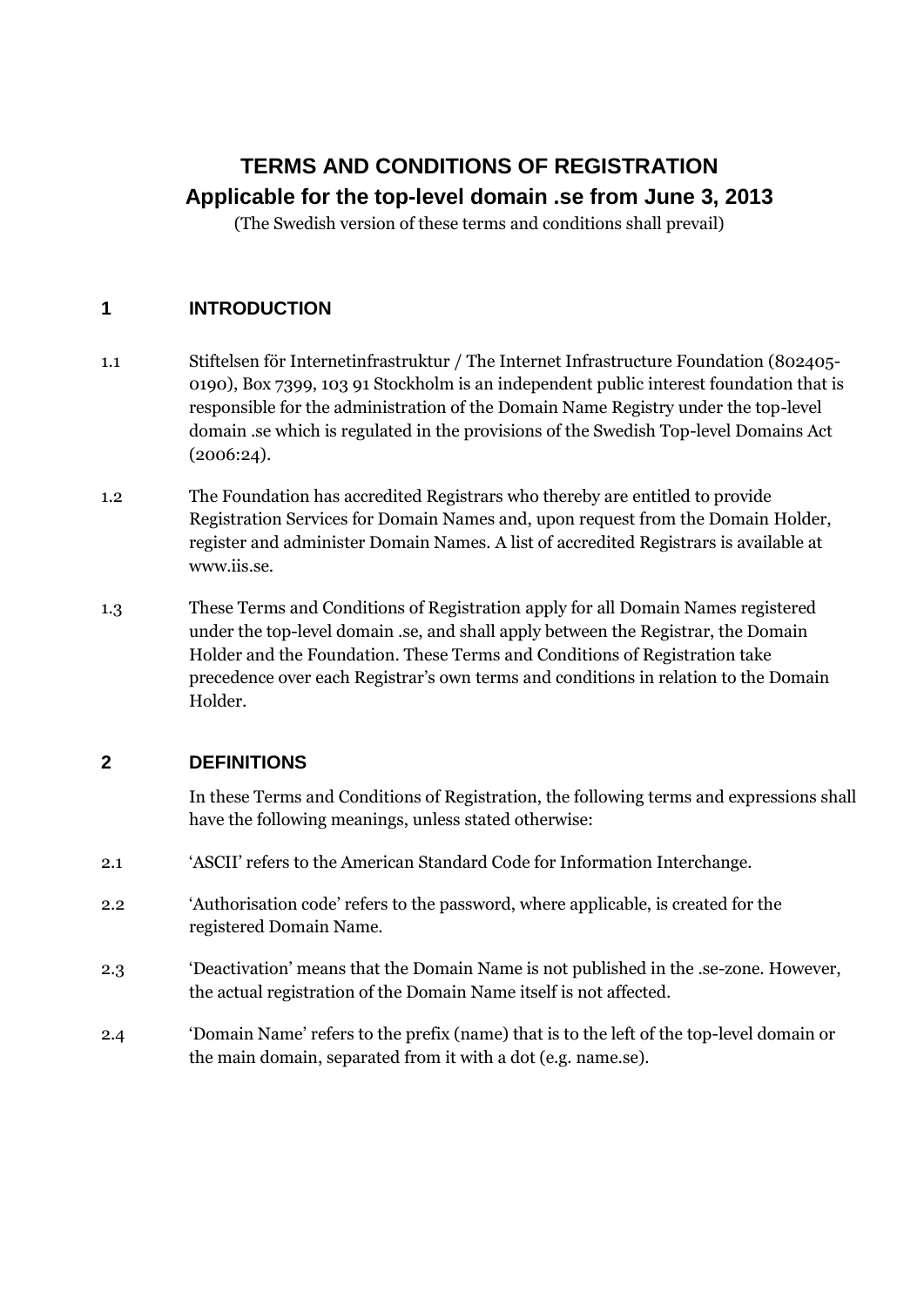# **TERMS AND CONDITIONS OF REGISTRATION Applicable for the top-level domain .se from June 3, 2013**

(The Swedish version of these terms and conditions shall prevail)

# **1 INTRODUCTION**

- 1.1 Stiftelsen för Internetinfrastruktur / The Internet Infrastructure Foundation (802405- 0190), Box 7399, 103 91 Stockholm is an independent public interest foundation that is responsible for the administration of the Domain Name Registry under the top-level domain .se which is regulated in the provisions of the Swedish Top-level Domains Act (2006:24).
- 1.2 The Foundation has accredited Registrars who thereby are entitled to provide Registration Services for Domain Names and, upon request from the Domain Holder, register and administer Domain Names. A list of accredited Registrars is available at www.iis.se.
- 1.3 These Terms and Conditions of Registration apply for all Domain Names registered under the top-level domain .se, and shall apply between the Registrar, the Domain Holder and the Foundation. These Terms and Conditions of Registration take precedence over each Registrar"s own terms and conditions in relation to the Domain Holder.

# **2 DEFINITIONS**

In these Terms and Conditions of Registration, the following terms and expressions shall have the following meanings, unless stated otherwise:

- 2.1 "ASCII" refers to the American Standard Code for Information Interchange.
- 2.2 "Authorisation code" refers to the password, where applicable, is created for the registered Domain Name.
- 2.3 "Deactivation" means that the Domain Name is not published in the .se-zone. However, the actual registration of the Domain Name itself is not affected.
- 2.4 "Domain Name" refers to the prefix (name) that is to the left of the top-level domain or the main domain, separated from it with a dot (e.g. name.se).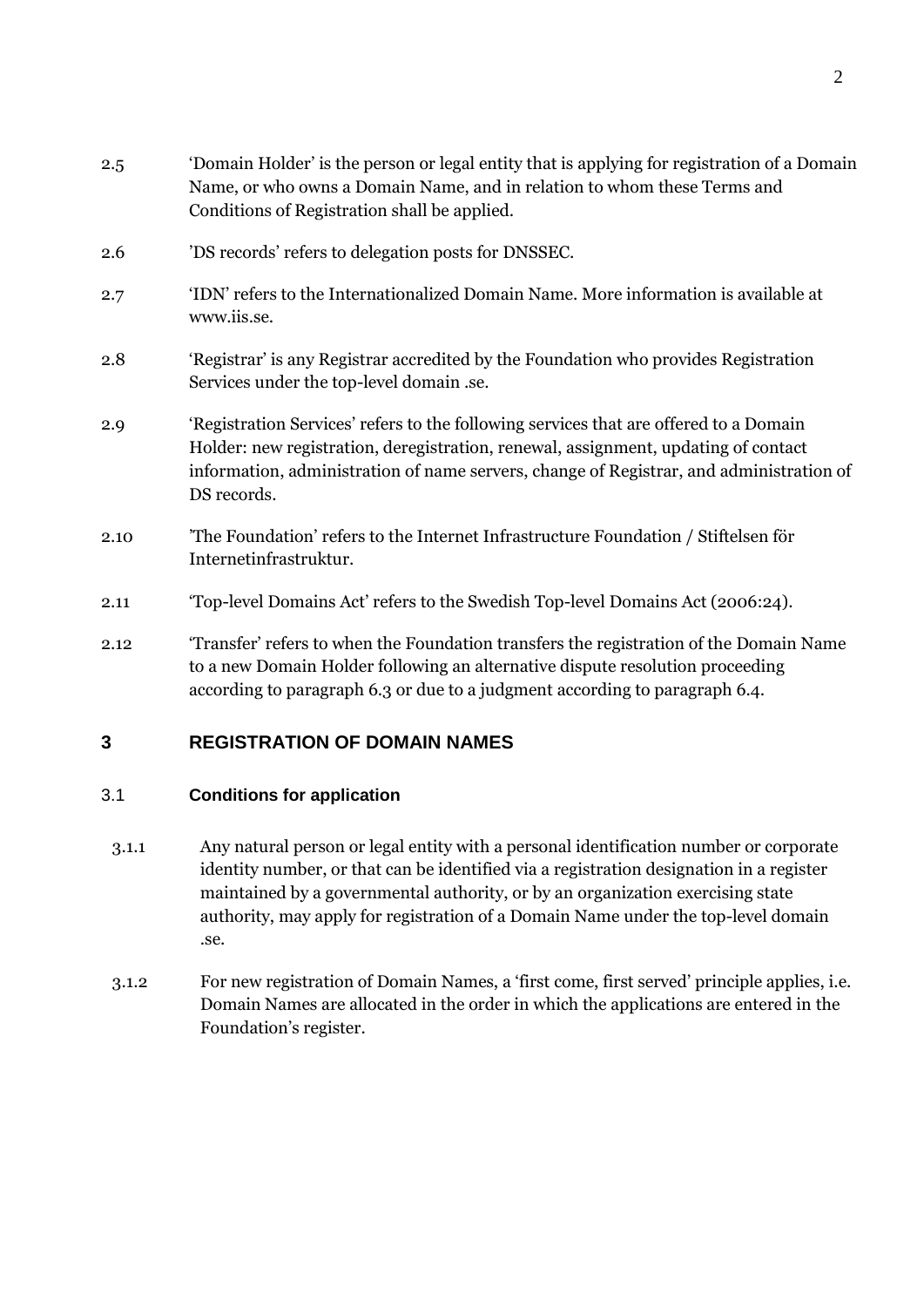| 2.5  | 'Domain Holder' is the person or legal entity that is applying for registration of a Domain<br>Name, or who owns a Domain Name, and in relation to whom these Terms and<br>Conditions of Registration shall be applied.                                                               |
|------|---------------------------------------------------------------------------------------------------------------------------------------------------------------------------------------------------------------------------------------------------------------------------------------|
| 2.6  | 'DS records' refers to delegation posts for DNSSEC.                                                                                                                                                                                                                                   |
| 2.7  | 'IDN' refers to the Internationalized Domain Name. More information is available at<br>www.iis.se.                                                                                                                                                                                    |
| 2.8  | 'Registrar' is any Registrar accredited by the Foundation who provides Registration<br>Services under the top-level domain .se.                                                                                                                                                       |
| 2.9  | 'Registration Services' refers to the following services that are offered to a Domain<br>Holder: new registration, deregistration, renewal, assignment, updating of contact<br>information, administration of name servers, change of Registrar, and administration of<br>DS records. |
| 2.10 | The Foundation' refers to the Internet Infrastructure Foundation / Stiftelsen för<br>Internetinfrastruktur.                                                                                                                                                                           |

- 2.11 "Top-level Domains Act" refers to the Swedish Top-level Domains Act (2006:24).
- 2.12 "Transfer" refers to when the Foundation transfers the registration of the Domain Name to a new Domain Holder following an alternative dispute resolution proceeding according to paragraph 6.3 or due to a judgment according to paragraph 6.4.

# **3 REGISTRATION OF DOMAIN NAMES**

## 3.1 **Conditions for application**

- 3.1.1 Any natural person or legal entity with a personal identification number or corporate identity number, or that can be identified via a registration designation in a register maintained by a governmental authority, or by an organization exercising state authority, may apply for registration of a Domain Name under the top-level domain .se.
- 3.1.2 For new registration of Domain Names, a "first come, first served" principle applies, i.e. Domain Names are allocated in the order in which the applications are entered in the Foundation"s register.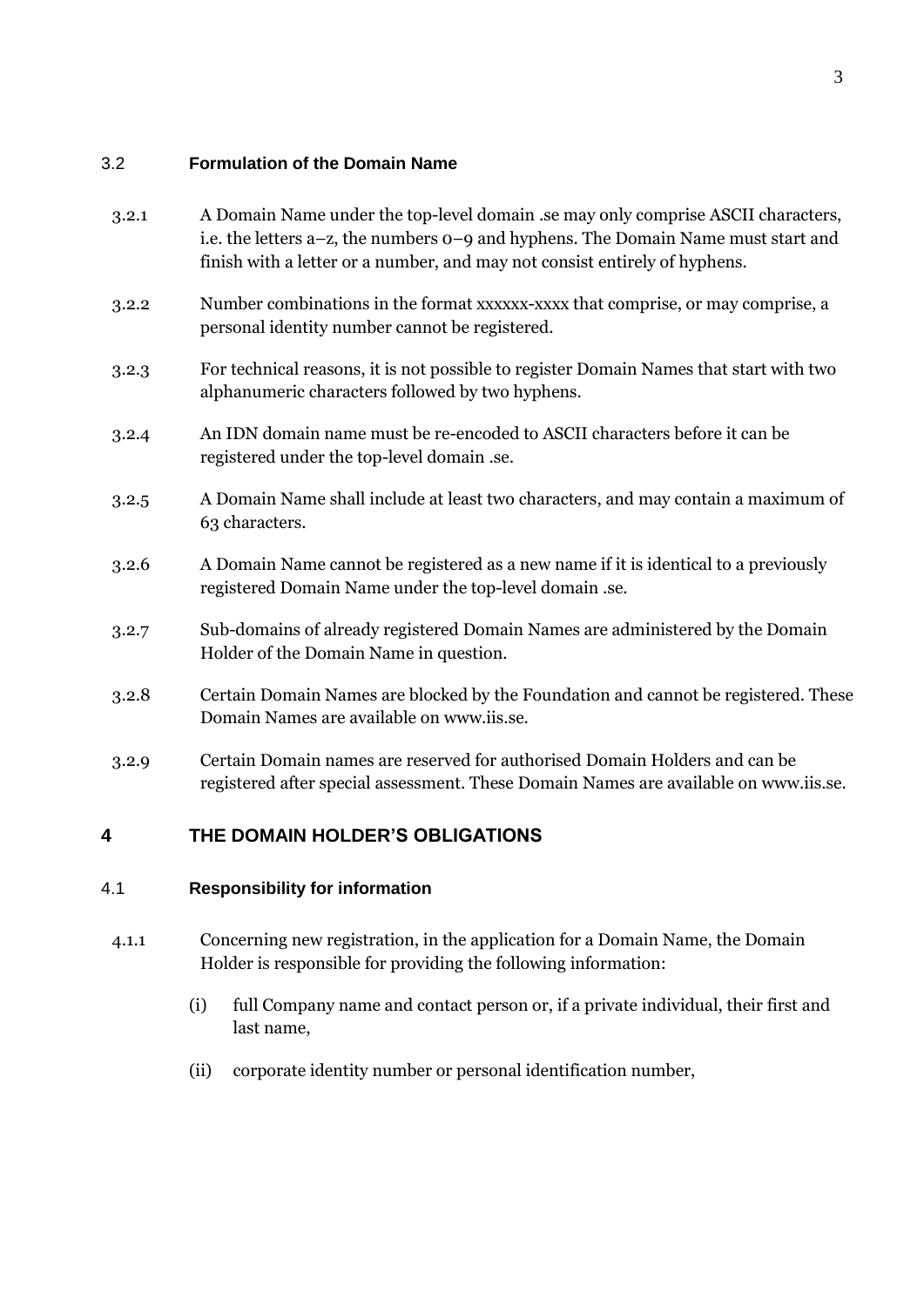## 3.2 **Formulation of the Domain Name**

| 3.2.1 | A Domain Name under the top-level domain .se may only comprise ASCII characters,<br>i.e. the letters a-z, the numbers o-9 and hyphens. The Domain Name must start and<br>finish with a letter or a number, and may not consist entirely of hyphens. |
|-------|-----------------------------------------------------------------------------------------------------------------------------------------------------------------------------------------------------------------------------------------------------|
| 3.2.2 | Number combinations in the format xxxxxx-xxxx that comprise, or may comprise, a<br>personal identity number cannot be registered.                                                                                                                   |
| 3.2.3 | For technical reasons, it is not possible to register Domain Names that start with two<br>alphanumeric characters followed by two hyphens.                                                                                                          |
| 3.2.4 | An IDN domain name must be re-encoded to ASCII characters before it can be<br>registered under the top-level domain .se.                                                                                                                            |
| 3.2.5 | A Domain Name shall include at least two characters, and may contain a maximum of<br>63 characters.                                                                                                                                                 |
| 3.2.6 | A Domain Name cannot be registered as a new name if it is identical to a previously<br>registered Domain Name under the top-level domain .se.                                                                                                       |
| 3.2.7 | Sub-domains of already registered Domain Names are administered by the Domain<br>Holder of the Domain Name in question.                                                                                                                             |
| 3.2.8 | Certain Domain Names are blocked by the Foundation and cannot be registered. These<br>Domain Names are available on www.iis.se.                                                                                                                     |
| 3.2.9 | Certain Domain names are reserved for authorised Domain Holders and can be<br>registered after special assessment. These Domain Names are available on www.iis.se.                                                                                  |
|       |                                                                                                                                                                                                                                                     |

# **4 THE DOMAIN HOLDER'S OBLIGATIONS**

## 4.1 **Responsibility for information**

- 4.1.1 Concerning new registration, in the application for a Domain Name, the Domain Holder is responsible for providing the following information:
	- (i) full Company name and contact person or, if a private individual, their first and last name,
	- (ii) corporate identity number or personal identification number,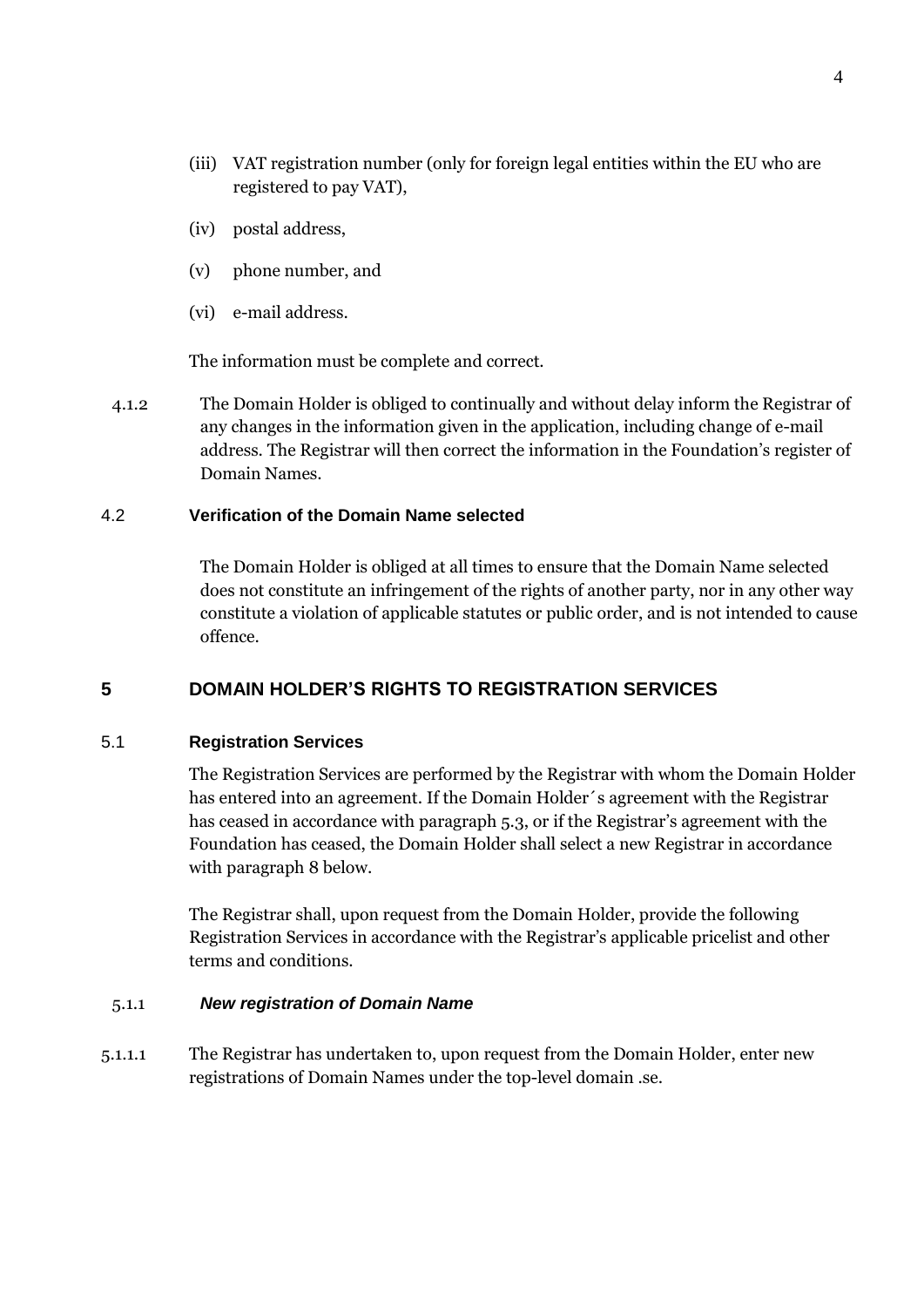- (iii) VAT registration number (only for foreign legal entities within the EU who are registered to pay VAT),
- (iv) postal address,
- (v) phone number, and
- (vi) e-mail address.

The information must be complete and correct.

4.1.2 The Domain Holder is obliged to continually and without delay inform the Registrar of any changes in the information given in the application, including change of e-mail address. The Registrar will then correct the information in the Foundation"s register of Domain Names.

#### 4.2 **Verification of the Domain Name selected**

The Domain Holder is obliged at all times to ensure that the Domain Name selected does not constitute an infringement of the rights of another party, nor in any other way constitute a violation of applicable statutes or public order, and is not intended to cause offence.

## **5 DOMAIN HOLDER'S RIGHTS TO REGISTRATION SERVICES**

#### 5.1 **Registration Services**

The Registration Services are performed by the Registrar with whom the Domain Holder has entered into an agreement. If the Domain Holder´s agreement with the Registrar has ceased in accordance with paragraph 5.3, or if the Registrar's agreement with the Foundation has ceased, the Domain Holder shall select a new Registrar in accordance with paragraph 8 below.

The Registrar shall, upon request from the Domain Holder, provide the following Registration Services in accordance with the Registrar"s applicable pricelist and other terms and conditions.

#### 5.1.1 *New registration of Domain Name*

5.1.1.1 The Registrar has undertaken to, upon request from the Domain Holder, enter new registrations of Domain Names under the top-level domain .se.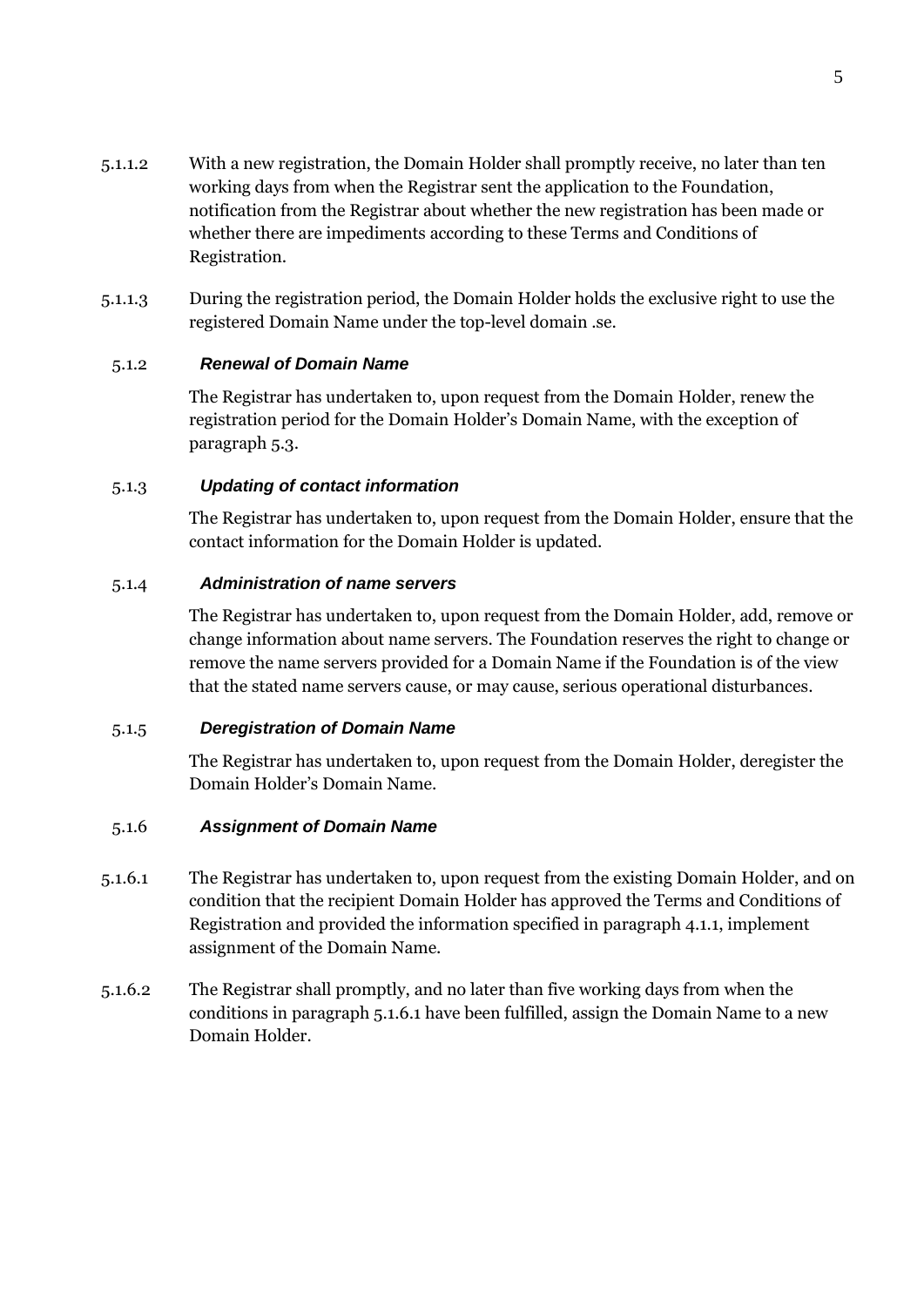- 5.1.1.2 With a new registration, the Domain Holder shall promptly receive, no later than ten working days from when the Registrar sent the application to the Foundation, notification from the Registrar about whether the new registration has been made or whether there are impediments according to these Terms and Conditions of Registration.
- 5.1.1.3 During the registration period, the Domain Holder holds the exclusive right to use the registered Domain Name under the top-level domain .se.

### 5.1.2 *Renewal of Domain Name*

The Registrar has undertaken to, upon request from the Domain Holder, renew the registration period for the Domain Holder"s Domain Name, with the exception of paragraph 5.3.

#### 5.1.3 *Updating of contact information*

The Registrar has undertaken to, upon request from the Domain Holder, ensure that the contact information for the Domain Holder is updated.

#### 5.1.4 *Administration of name servers*

The Registrar has undertaken to, upon request from the Domain Holder, add, remove or change information about name servers. The Foundation reserves the right to change or remove the name servers provided for a Domain Name if the Foundation is of the view that the stated name servers cause, or may cause, serious operational disturbances.

#### 5.1.5 *Deregistration of Domain Name*

The Registrar has undertaken to, upon request from the Domain Holder, deregister the Domain Holder"s Domain Name.

#### 5.1.6 *Assignment of Domain Name*

- 5.1.6.1 The Registrar has undertaken to, upon request from the existing Domain Holder, and on condition that the recipient Domain Holder has approved the Terms and Conditions of Registration and provided the information specified in paragraph 4.1.1, implement assignment of the Domain Name.
- 5.1.6.2 The Registrar shall promptly, and no later than five working days from when the conditions in paragraph 5.1.6.1 have been fulfilled, assign the Domain Name to a new Domain Holder.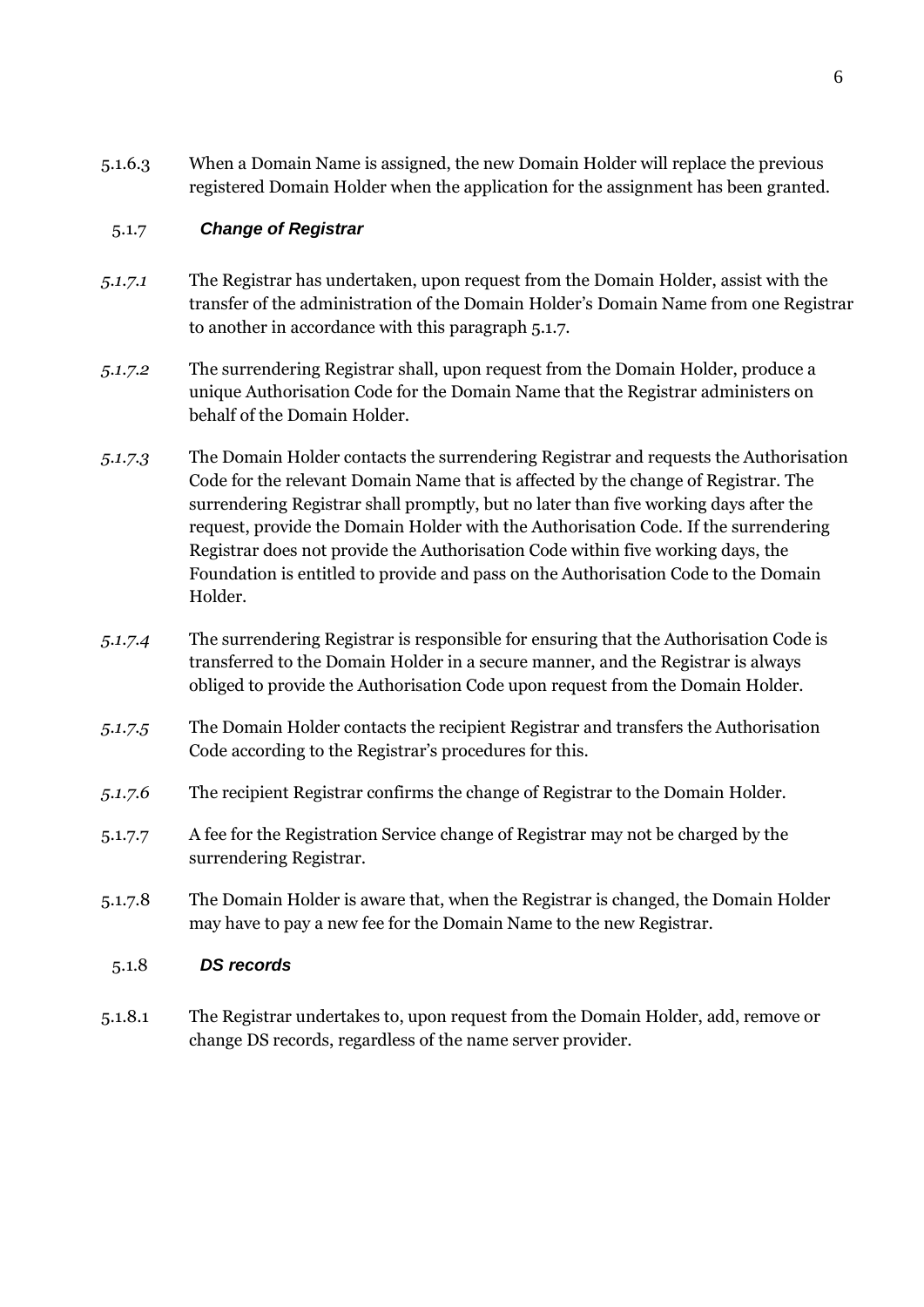5.1.6.3 When a Domain Name is assigned, the new Domain Holder will replace the previous registered Domain Holder when the application for the assignment has been granted.

## 5.1.7 *Change of Registrar*

- *5.1.7.1* The Registrar has undertaken, upon request from the Domain Holder, assist with the transfer of the administration of the Domain Holder"s Domain Name from one Registrar to another in accordance with this paragraph 5.1.7.
- *5.1.7.2* The surrendering Registrar shall, upon request from the Domain Holder, produce a unique Authorisation Code for the Domain Name that the Registrar administers on behalf of the Domain Holder.
- *5.1.7.3* The Domain Holder contacts the surrendering Registrar and requests the Authorisation Code for the relevant Domain Name that is affected by the change of Registrar. The surrendering Registrar shall promptly, but no later than five working days after the request, provide the Domain Holder with the Authorisation Code. If the surrendering Registrar does not provide the Authorisation Code within five working days, the Foundation is entitled to provide and pass on the Authorisation Code to the Domain Holder.
- *5.1.7.4* The surrendering Registrar is responsible for ensuring that the Authorisation Code is transferred to the Domain Holder in a secure manner, and the Registrar is always obliged to provide the Authorisation Code upon request from the Domain Holder.
- *5.1.7.5* The Domain Holder contacts the recipient Registrar and transfers the Authorisation Code according to the Registrar's procedures for this.
- *5.1.7.6* The recipient Registrar confirms the change of Registrar to the Domain Holder.
- 5.1.7.7 A fee for the Registration Service change of Registrar may not be charged by the surrendering Registrar.
- 5.1.7.8 The Domain Holder is aware that, when the Registrar is changed, the Domain Holder may have to pay a new fee for the Domain Name to the new Registrar.

#### 5.1.8 *DS records*

5.1.8.1 The Registrar undertakes to, upon request from the Domain Holder, add, remove or change DS records, regardless of the name server provider.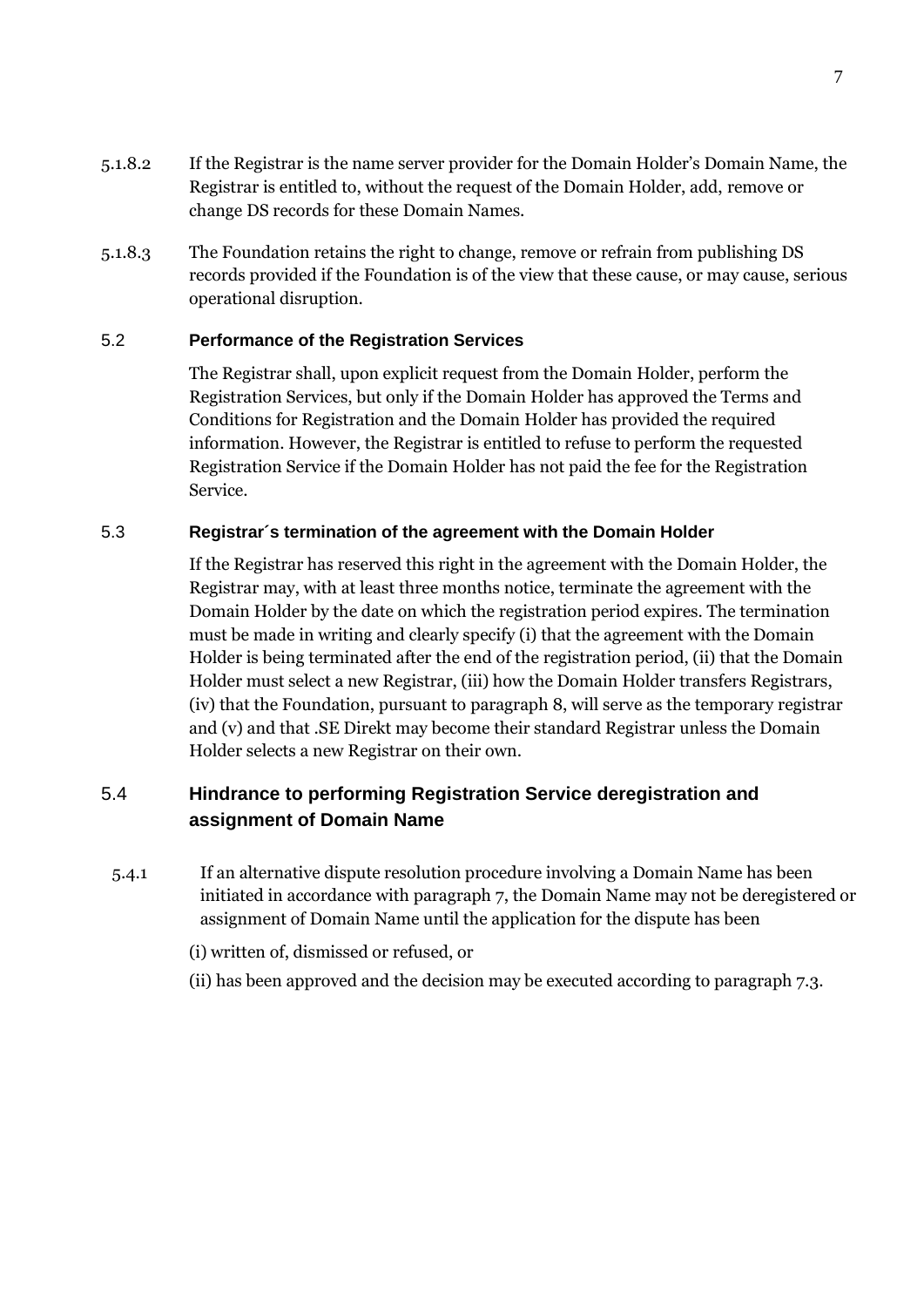- 5.1.8.2 If the Registrar is the name server provider for the Domain Holder"s Domain Name, the Registrar is entitled to, without the request of the Domain Holder, add, remove or change DS records for these Domain Names.
- 5.1.8.3 The Foundation retains the right to change, remove or refrain from publishing DS records provided if the Foundation is of the view that these cause, or may cause, serious operational disruption.

### 5.2 **Performance of the Registration Services**

The Registrar shall, upon explicit request from the Domain Holder, perform the Registration Services, but only if the Domain Holder has approved the Terms and Conditions for Registration and the Domain Holder has provided the required information. However, the Registrar is entitled to refuse to perform the requested Registration Service if the Domain Holder has not paid the fee for the Registration Service.

#### 5.3 **Registrar´s termination of the agreement with the Domain Holder**

If the Registrar has reserved this right in the agreement with the Domain Holder, the Registrar may, with at least three months notice, terminate the agreement with the Domain Holder by the date on which the registration period expires. The termination must be made in writing and clearly specify (i) that the agreement with the Domain Holder is being terminated after the end of the registration period, (ii) that the Domain Holder must select a new Registrar, (iii) how the Domain Holder transfers Registrars, (iv) that the Foundation, pursuant to paragraph 8, will serve as the temporary registrar and (v) and that .SE Direkt may become their standard Registrar unless the Domain Holder selects a new Registrar on their own.

# 5.4 **Hindrance to performing Registration Service deregistration and assignment of Domain Name**

5.4.1 If an alternative dispute resolution procedure involving a Domain Name has been initiated in accordance with paragraph 7, the Domain Name may not be deregistered or assignment of Domain Name until the application for the dispute has been

(i) written of, dismissed or refused, or

(ii) has been approved and the decision may be executed according to paragraph 7.3.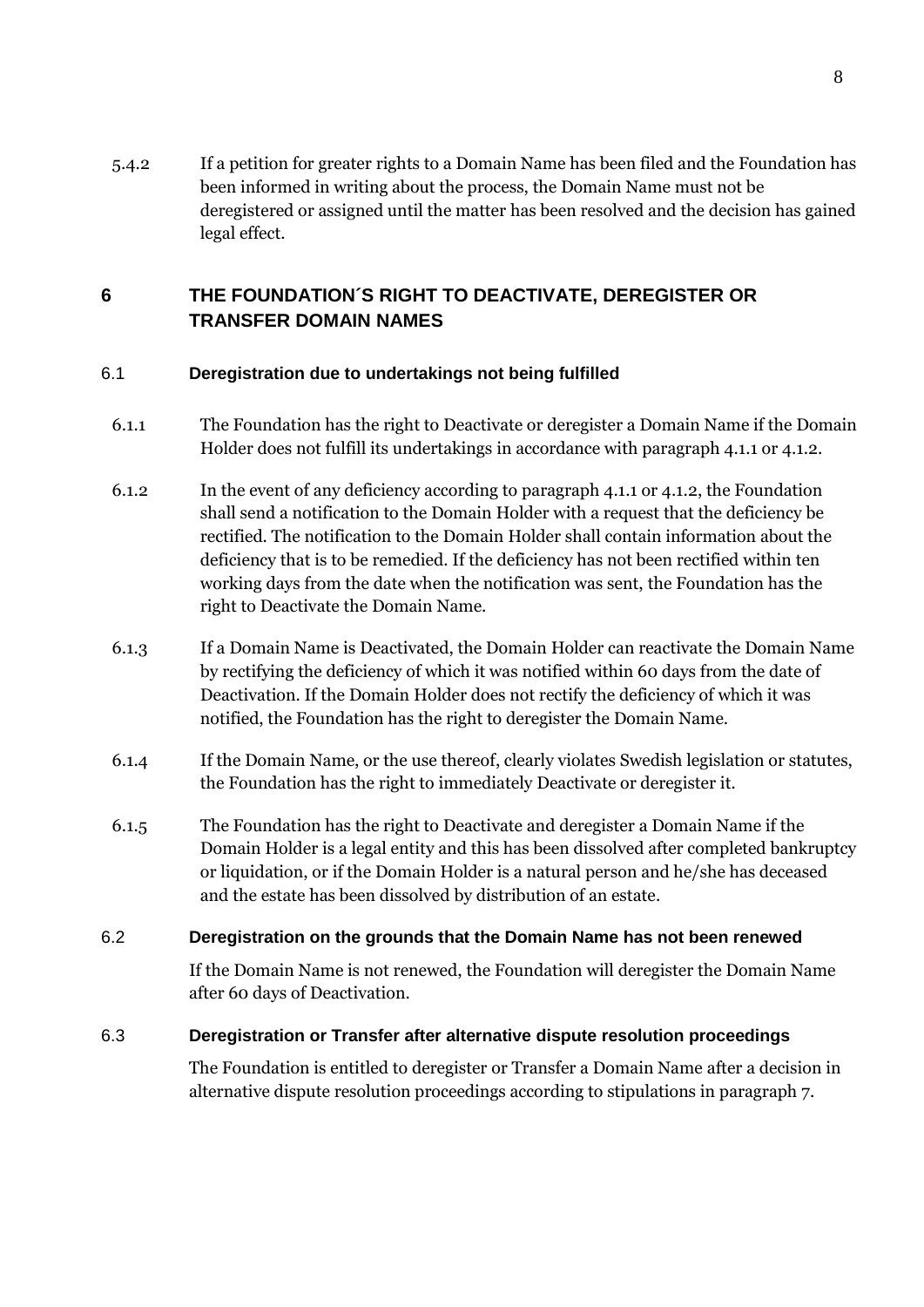5.4.2 If a petition for greater rights to a Domain Name has been filed and the Foundation has been informed in writing about the process, the Domain Name must not be deregistered or assigned until the matter has been resolved and the decision has gained legal effect.

# **6 THE FOUNDATION´S RIGHT TO DEACTIVATE, DEREGISTER OR TRANSFER DOMAIN NAMES**

## 6.1 **Deregistration due to undertakings not being fulfilled**

- 6.1.1 The Foundation has the right to Deactivate or deregister a Domain Name if the Domain Holder does not fulfill its undertakings in accordance with paragraph 4.1.1 or 4.1.2.
- 6.1.2 In the event of any deficiency according to paragraph 4.1.1 or 4.1.2, the Foundation shall send a notification to the Domain Holder with a request that the deficiency be rectified. The notification to the Domain Holder shall contain information about the deficiency that is to be remedied. If the deficiency has not been rectified within ten working days from the date when the notification was sent, the Foundation has the right to Deactivate the Domain Name.
- 6.1.3 If a Domain Name is Deactivated, the Domain Holder can reactivate the Domain Name by rectifying the deficiency of which it was notified within 60 days from the date of Deactivation. If the Domain Holder does not rectify the deficiency of which it was notified, the Foundation has the right to deregister the Domain Name.
- 6.1.4 If the Domain Name, or the use thereof, clearly violates Swedish legislation or statutes, the Foundation has the right to immediately Deactivate or deregister it.
- 6.1.5 The Foundation has the right to Deactivate and deregister a Domain Name if the Domain Holder is a legal entity and this has been dissolved after completed bankruptcy or liquidation, or if the Domain Holder is a natural person and he/she has deceased and the estate has been dissolved by distribution of an estate.

## 6.2 **Deregistration on the grounds that the Domain Name has not been renewed**

If the Domain Name is not renewed, the Foundation will deregister the Domain Name after 60 days of Deactivation.

## 6.3 **Deregistration or Transfer after alternative dispute resolution proceedings**

The Foundation is entitled to deregister or Transfer a Domain Name after a decision in alternative dispute resolution proceedings according to stipulations in paragraph 7.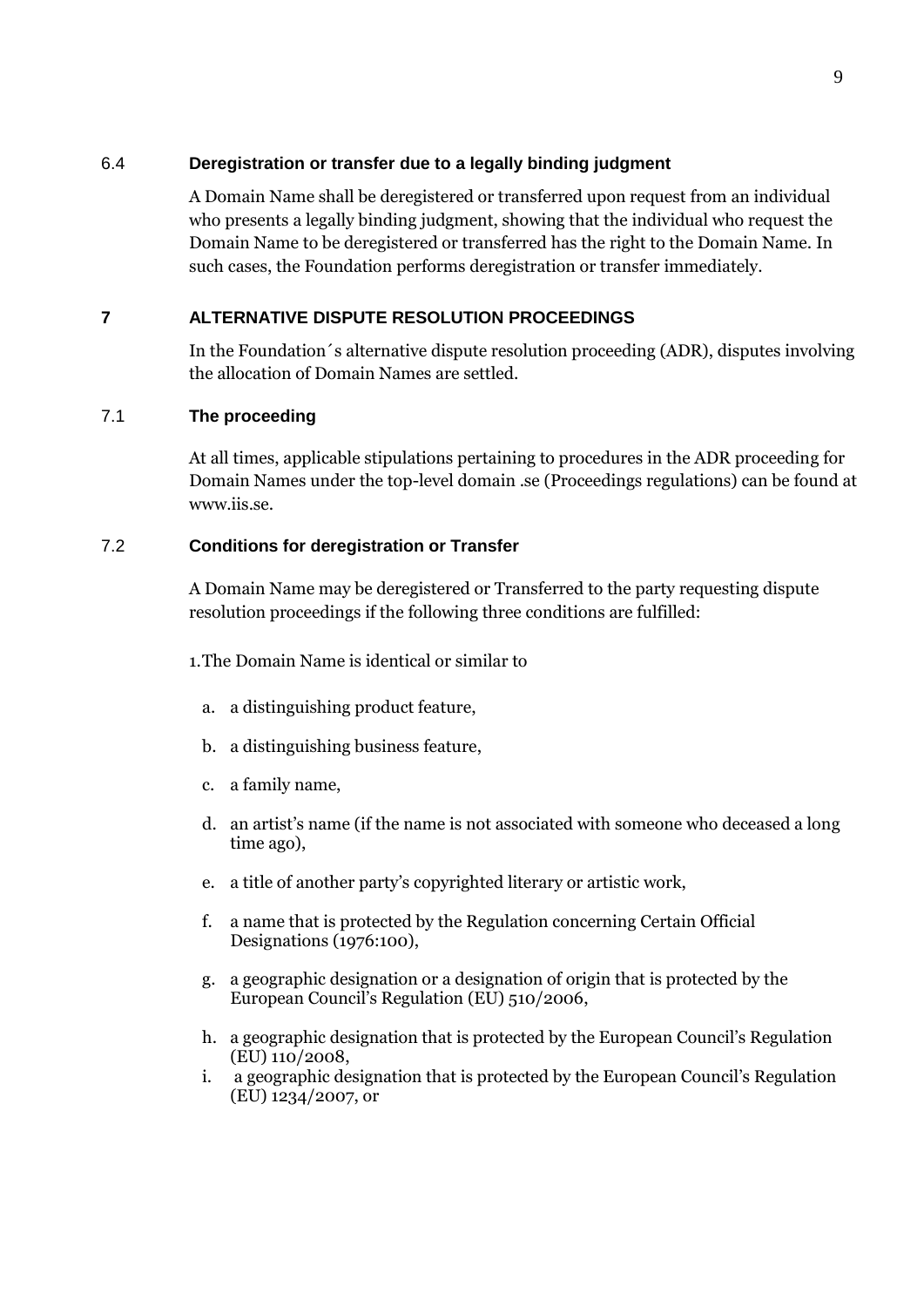#### 6.4 **Deregistration or transfer due to a legally binding judgment**

A Domain Name shall be deregistered or transferred upon request from an individual who presents a legally binding judgment, showing that the individual who request the Domain Name to be deregistered or transferred has the right to the Domain Name. In such cases, the Foundation performs deregistration or transfer immediately.

## **7 ALTERNATIVE DISPUTE RESOLUTION PROCEEDINGS**

In the Foundation´s alternative dispute resolution proceeding (ADR), disputes involving the allocation of Domain Names are settled.

## 7.1 **The proceeding**

At all times, applicable stipulations pertaining to procedures in the ADR proceeding for Domain Names under the top-level domain .se (Proceedings regulations) can be found at www.iis.se.

#### 7.2 **Conditions for deregistration or Transfer**

A Domain Name may be deregistered or Transferred to the party requesting dispute resolution proceedings if the following three conditions are fulfilled:

1.The Domain Name is identical or similar to

- a. a distinguishing product feature,
- b. a distinguishing business feature,
- c. a family name,
- d. an artist"s name (if the name is not associated with someone who deceased a long time ago),
- e. a title of another party"s copyrighted literary or artistic work,
- f. a name that is protected by the Regulation concerning Certain Official Designations (1976:100),
- g. a geographic designation or a designation of origin that is protected by the European Council"s Regulation (EU) 510/2006,
- h. a geographic designation that is protected by the European Council"s Regulation (EU) 110/2008,
- i. a geographic designation that is protected by the European Council"s Regulation (EU) 1234/2007, or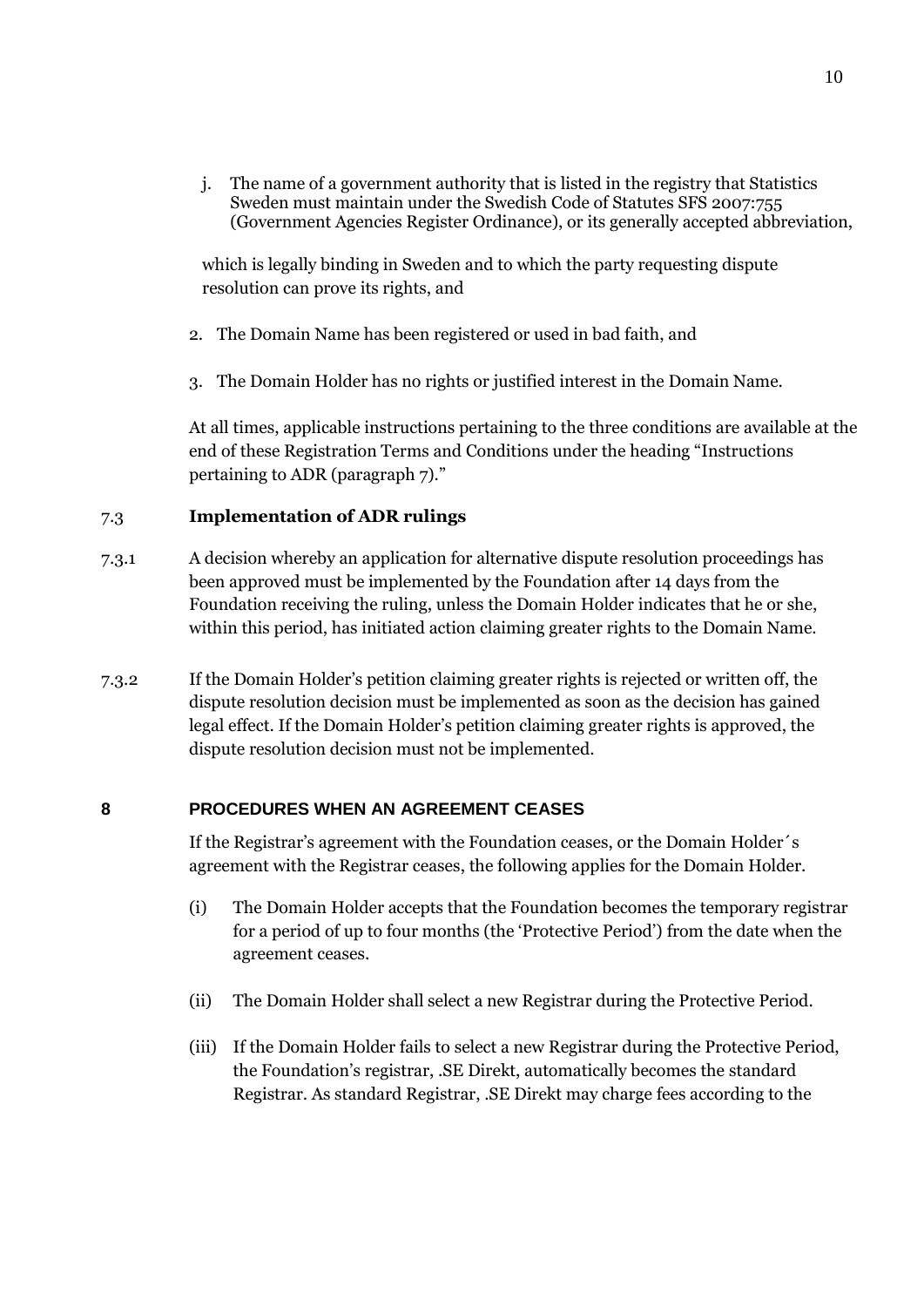j. The name of a government authority that is listed in the registry that Statistics Sweden must maintain under the Swedish Code of Statutes SFS 2007:755 (Government Agencies Register Ordinance), or its generally accepted abbreviation,

which is legally binding in Sweden and to which the party requesting dispute resolution can prove its rights, and

- 2. The Domain Name has been registered or used in bad faith, and
- 3. The Domain Holder has no rights or justified interest in the Domain Name.

At all times, applicable instructions pertaining to the three conditions are available at the end of these Registration Terms and Conditions under the heading "Instructions pertaining to ADR (paragraph 7)."

### 7.3 **Implementation of ADR rulings**

- 7.3.1 A decision whereby an application for alternative dispute resolution proceedings has been approved must be implemented by the Foundation after 14 days from the Foundation receiving the ruling, unless the Domain Holder indicates that he or she, within this period, has initiated action claiming greater rights to the Domain Name.
- 7.3.2 If the Domain Holder"s petition claiming greater rights is rejected or written off, the dispute resolution decision must be implemented as soon as the decision has gained legal effect. If the Domain Holder"s petition claiming greater rights is approved, the dispute resolution decision must not be implemented.

#### **8 PROCEDURES WHEN AN AGREEMENT CEASES**

If the Registrar's agreement with the Foundation ceases, or the Domain Holder's agreement with the Registrar ceases, the following applies for the Domain Holder.

- (i) The Domain Holder accepts that the Foundation becomes the temporary registrar for a period of up to four months (the "Protective Period") from the date when the agreement ceases.
- (ii) The Domain Holder shall select a new Registrar during the Protective Period.
- (iii) If the Domain Holder fails to select a new Registrar during the Protective Period, the Foundation"s registrar, .SE Direkt, automatically becomes the standard Registrar. As standard Registrar, .SE Direkt may charge fees according to the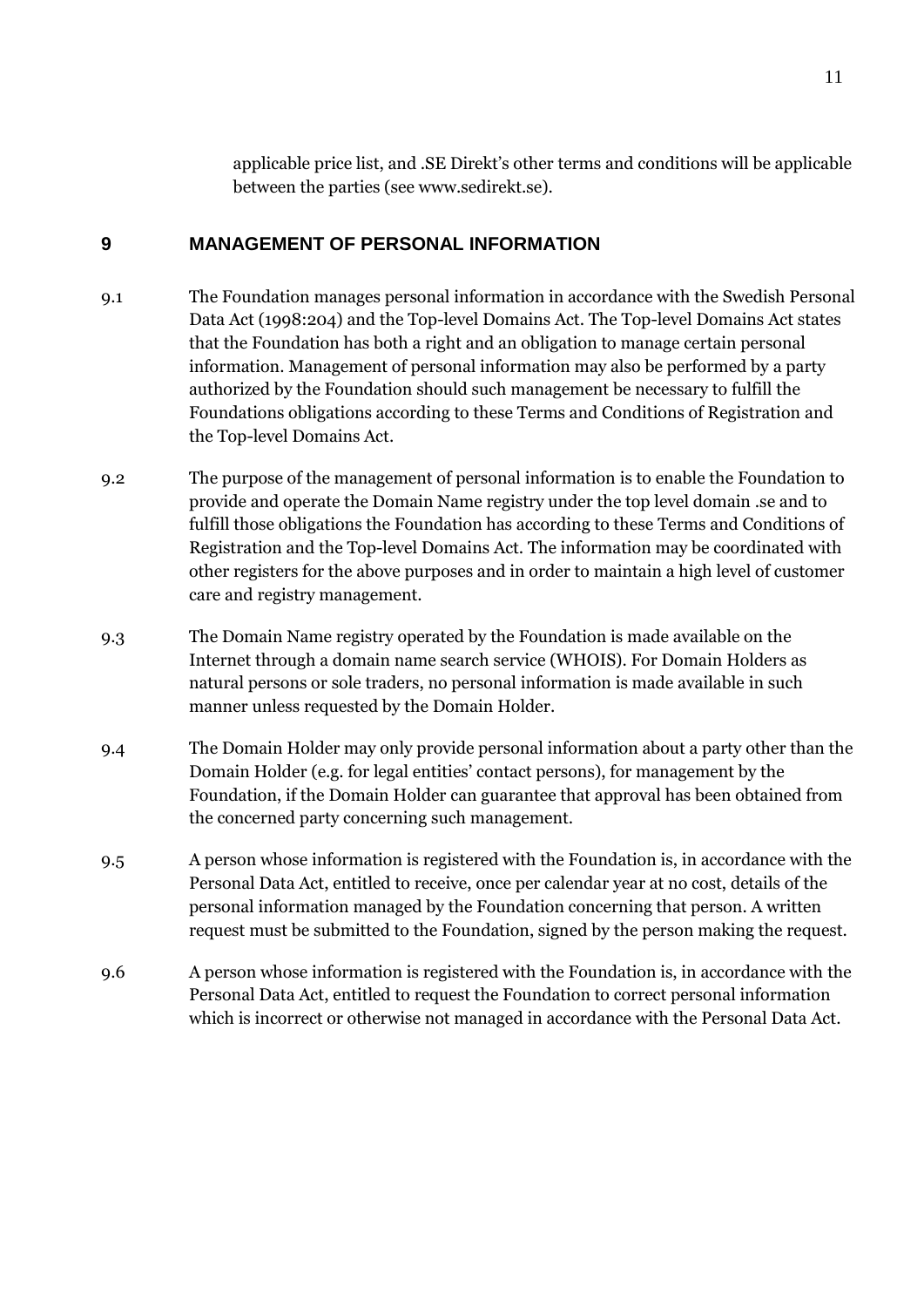applicable price list, and .SE Direkt"s other terms and conditions will be applicable between the parties (see www.sedirekt.se).

## **9 MANAGEMENT OF PERSONAL INFORMATION**

- 9.1 The Foundation manages personal information in accordance with the Swedish Personal Data Act (1998:204) and the Top-level Domains Act. The Top-level Domains Act states that the Foundation has both a right and an obligation to manage certain personal information. Management of personal information may also be performed by a party authorized by the Foundation should such management be necessary to fulfill the Foundations obligations according to these Terms and Conditions of Registration and the Top-level Domains Act.
- 9.2 The purpose of the management of personal information is to enable the Foundation to provide and operate the Domain Name registry under the top level domain .se and to fulfill those obligations the Foundation has according to these Terms and Conditions of Registration and the Top-level Domains Act. The information may be coordinated with other registers for the above purposes and in order to maintain a high level of customer care and registry management.
- 9.3 The Domain Name registry operated by the Foundation is made available on the Internet through a domain name search service (WHOIS). For Domain Holders as natural persons or sole traders, no personal information is made available in such manner unless requested by the Domain Holder.
- 9.4 The Domain Holder may only provide personal information about a party other than the Domain Holder (e.g. for legal entities" contact persons), for management by the Foundation, if the Domain Holder can guarantee that approval has been obtained from the concerned party concerning such management.
- 9.5 A person whose information is registered with the Foundation is, in accordance with the Personal Data Act, entitled to receive, once per calendar year at no cost, details of the personal information managed by the Foundation concerning that person. A written request must be submitted to the Foundation, signed by the person making the request.
- 9.6 A person whose information is registered with the Foundation is, in accordance with the Personal Data Act, entitled to request the Foundation to correct personal information which is incorrect or otherwise not managed in accordance with the Personal Data Act.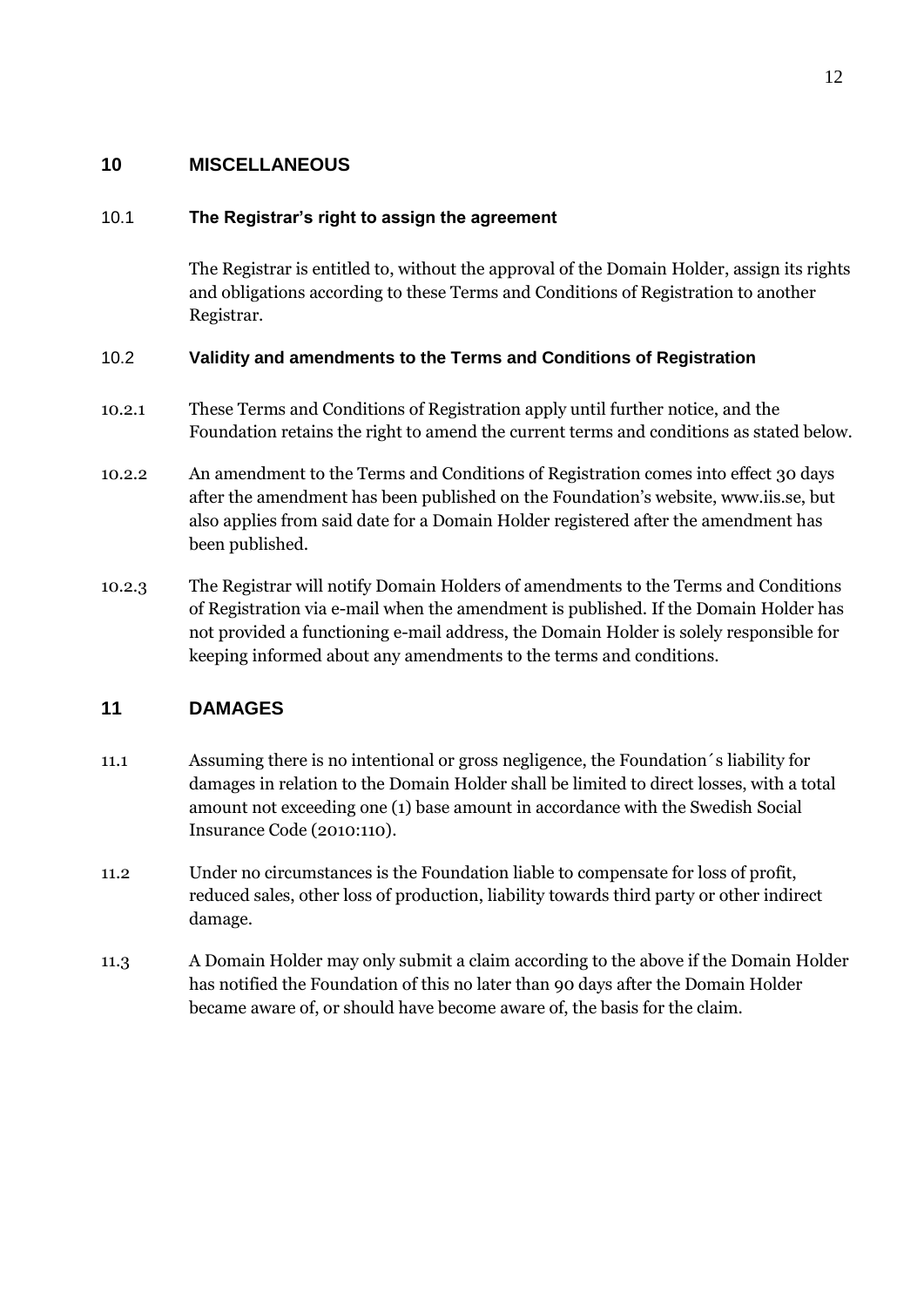## **10 MISCELLANEOUS**

### 10.1 **The Registrar's right to assign the agreement**

The Registrar is entitled to, without the approval of the Domain Holder, assign its rights and obligations according to these Terms and Conditions of Registration to another Registrar.

### 10.2 **Validity and amendments to the Terms and Conditions of Registration**

- 10.2.1 These Terms and Conditions of Registration apply until further notice, and the Foundation retains the right to amend the current terms and conditions as stated below.
- 10.2.2 An amendment to the Terms and Conditions of Registration comes into effect 30 days after the amendment has been published on the Foundation"s website, www.iis.se, but also applies from said date for a Domain Holder registered after the amendment has been published.
- 10.2.3 The Registrar will notify Domain Holders of amendments to the Terms and Conditions of Registration via e-mail when the amendment is published. If the Domain Holder has not provided a functioning e-mail address, the Domain Holder is solely responsible for keeping informed about any amendments to the terms and conditions.

## **11 DAMAGES**

- 11.1 Assuming there is no intentional or gross negligence, the Foundation´s liability for damages in relation to the Domain Holder shall be limited to direct losses, with a total amount not exceeding one (1) base amount in accordance with the Swedish Social Insurance Code (2010:110).
- 11.2 Under no circumstances is the Foundation liable to compensate for loss of profit, reduced sales, other loss of production, liability towards third party or other indirect damage.
- 11.3 A Domain Holder may only submit a claim according to the above if the Domain Holder has notified the Foundation of this no later than 90 days after the Domain Holder became aware of, or should have become aware of, the basis for the claim.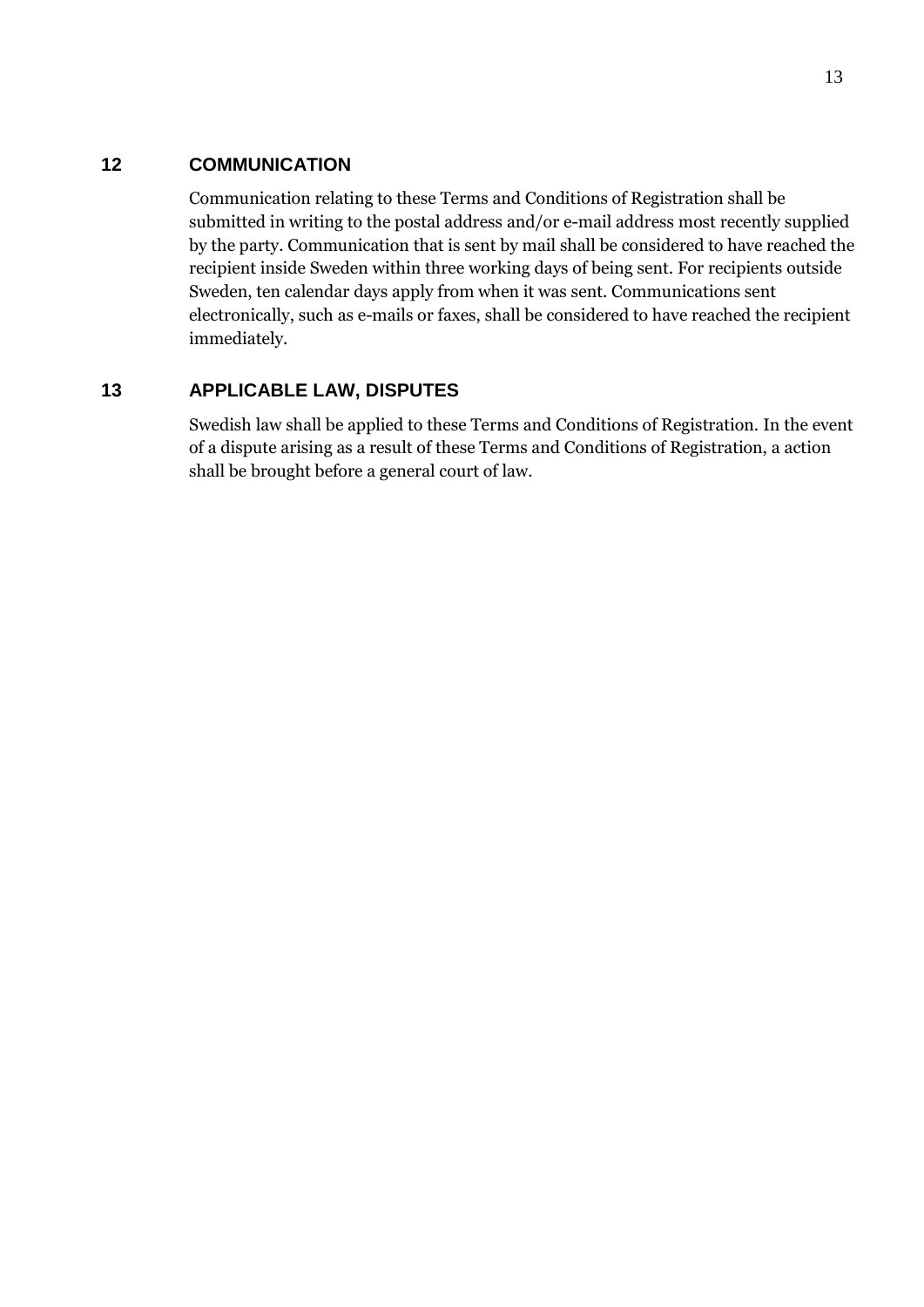## **12 COMMUNICATION**

Communication relating to these Terms and Conditions of Registration shall be submitted in writing to the postal address and/or e-mail address most recently supplied by the party. Communication that is sent by mail shall be considered to have reached the recipient inside Sweden within three working days of being sent. For recipients outside Sweden, ten calendar days apply from when it was sent. Communications sent electronically, such as e-mails or faxes, shall be considered to have reached the recipient immediately.

## **13 APPLICABLE LAW, DISPUTES**

Swedish law shall be applied to these Terms and Conditions of Registration. In the event of a dispute arising as a result of these Terms and Conditions of Registration, a action shall be brought before a general court of law.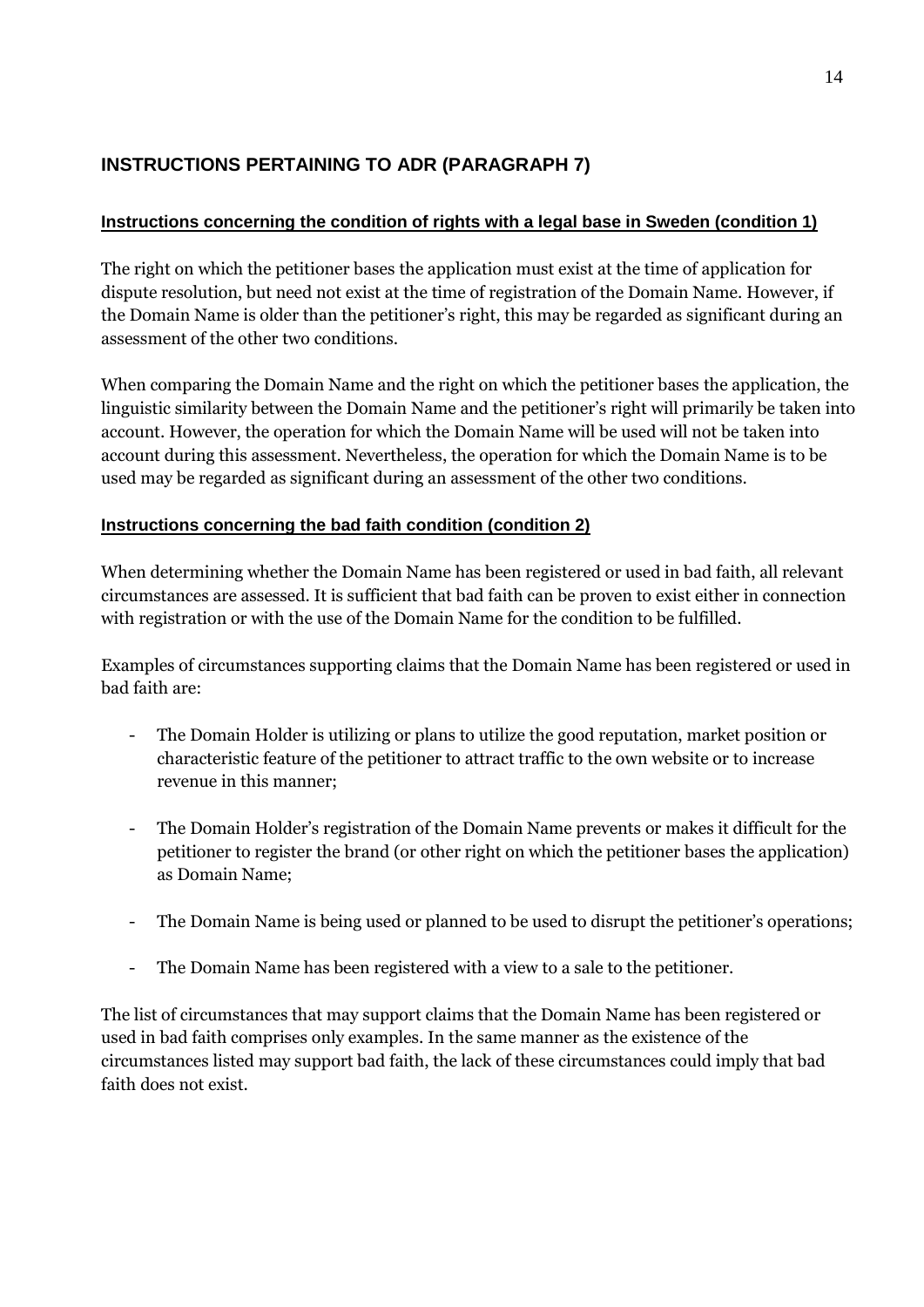# **INSTRUCTIONS PERTAINING TO ADR (PARAGRAPH 7)**

# **Instructions concerning the condition of rights with a legal base in Sweden (condition 1)**

The right on which the petitioner bases the application must exist at the time of application for dispute resolution, but need not exist at the time of registration of the Domain Name. However, if the Domain Name is older than the petitioner"s right, this may be regarded as significant during an assessment of the other two conditions.

When comparing the Domain Name and the right on which the petitioner bases the application, the linguistic similarity between the Domain Name and the petitioner's right will primarily be taken into account. However, the operation for which the Domain Name will be used will not be taken into account during this assessment. Nevertheless, the operation for which the Domain Name is to be used may be regarded as significant during an assessment of the other two conditions.

# **Instructions concerning the bad faith condition (condition 2)**

When determining whether the Domain Name has been registered or used in bad faith, all relevant circumstances are assessed. It is sufficient that bad faith can be proven to exist either in connection with registration or with the use of the Domain Name for the condition to be fulfilled.

Examples of circumstances supporting claims that the Domain Name has been registered or used in bad faith are:

- The Domain Holder is utilizing or plans to utilize the good reputation, market position or characteristic feature of the petitioner to attract traffic to the own website or to increase revenue in this manner;
- The Domain Holder"s registration of the Domain Name prevents or makes it difficult for the petitioner to register the brand (or other right on which the petitioner bases the application) as Domain Name;
- The Domain Name is being used or planned to be used to disrupt the petitioner's operations;
- The Domain Name has been registered with a view to a sale to the petitioner.

The list of circumstances that may support claims that the Domain Name has been registered or used in bad faith comprises only examples. In the same manner as the existence of the circumstances listed may support bad faith, the lack of these circumstances could imply that bad faith does not exist.